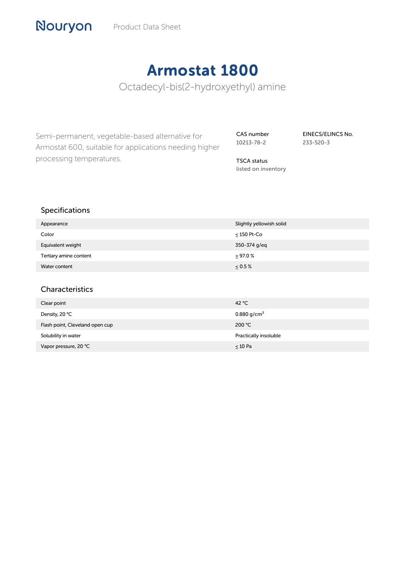# Armostat 1800

Octadecyl-bis(2-hydroxyethyl) amine

Semi-permanent, vegetable-based alternative for Armostat 600, suitable for applications needing higher processing temperatures.

CAS number 10213-78-2 EINECS/ELINCS No. 233-520-3

TSCA status listed on inventory

## Specifications

Nouryon

| Appearance             | Slightly yellowish solid |
|------------------------|--------------------------|
| Color                  | $\leq$ 150 Pt-Co         |
| Equivalent weight      | 350-374 g/eq             |
| Tertiary amine content | $\geq$ 97.0 %            |
| Water content          | $\leq 0.5\%$             |

#### Characteristics

| Clear point                     | 42 $^{\circ}$ C         |
|---------------------------------|-------------------------|
| Density, 20 °C                  | 0.880 g/cm <sup>3</sup> |
| Flash point, Cleveland open cup | 200 °C                  |
| Solubility in water             | Practically insoluble   |
| Vapor pressure, 20 °C           | $\leq 10$ Pa            |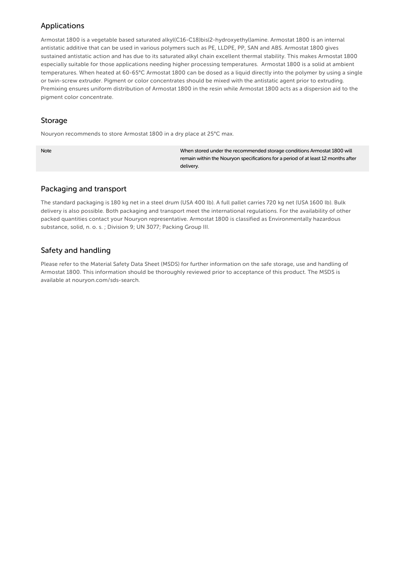# Applications

Armostat 1800 is a vegetable based saturated alkyl(C16-C18)bis(2-hydroxyethyl)amine. Armostat 1800 is an internal antistatic additive that can be used in various polymers such as PE, LLDPE, PP, SAN and ABS. Armostat 1800 gives sustained antistatic action and has due to its saturated alkyl chain excellent thermal stability. This makes Armostat 1800 especially suitable for those applications needing higher processing temperatures. Armostat 1800 is a solid at ambient temperatures. When heated at 60-65°C Armostat 1800 can be dosed as a liquid directly into the polymer by using a single or twin-screw extruder. Pigment or color concentrates should be mixed with the antistatic agent prior to extruding. Premixing ensures uniform distribution of Armostat 1800 in the resin while Armostat 1800 acts as a dispersion aid to the pigment color concentrate.

#### Storage

Nouryon recommends to store Armostat 1800 in a dry place at 25°C max.

Note When stored under the recommended storage conditions Armostat 1800 will remain within the Nouryon specifications for a period of at least 12 months after delivery.

#### Packaging and transport

The standard packaging is 180 kg net in a steel drum (USA 400 lb). A full pallet carries 720 kg net (USA 1600 lb). Bulk delivery is also possible. Both packaging and transport meet the international regulations. For the availability of other packed quantities contact your Nouryon representative. Armostat 1800 is classified as Environmentally hazardous substance, solid, n. o. s. ; Division 9; UN 3077; Packing Group III.

# Safety and handling

Please refer to the Material Safety Data Sheet (MSDS) for further information on the safe storage, use and handling of Armostat 1800. This information should be thoroughly reviewed prior to acceptance of this product. The MSDS is available at nouryon.com/sds-search.